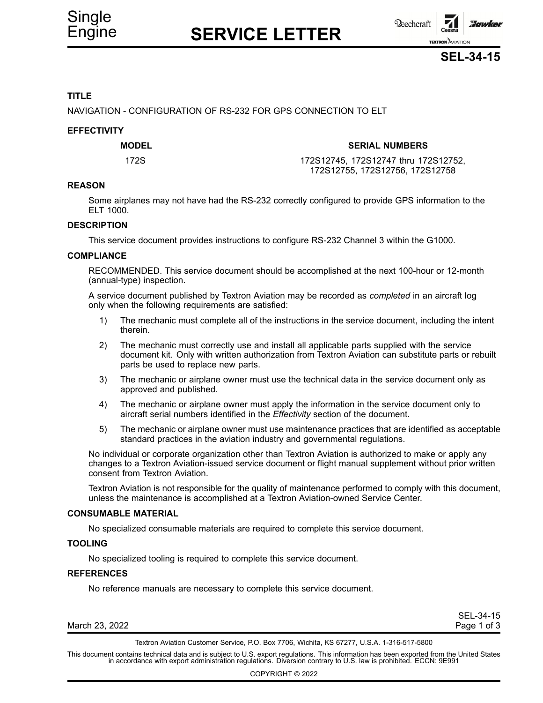# Engine **SERVICE LETTER**





### **TITLE**

NAVIGATION - CONFIGURATION OF RS-232 FOR GPS CONNECTION TO ELT

### **EFFECTIVITY**

### **MODEL SERIAL NUMBERS**

172S 172S12745, 172S12747 thru 172S12752, 172S12755, 172S12756, 172S12758

### **REASON**

Some airplanes may not have had the RS-232 correctly configured to provide GPS information to the ELT 1000.

### **DESCRIPTION**

This service document provides instructions to configure RS-232 Channel 3 within the G1000.

### **COMPLIANCE**

RECOMMENDED. This service document should be accomplished at the next 100-hour or 12-month (annual-type) inspection.

A service document published by Textron Aviation may be recorded as *completed* in an aircraft log only when the following requirements are satisfied:

- 1) The mechanic must complete all of the instructions in the service document, including the intent therein.
- 2) The mechanic must correctly use and install all applicable parts supplied with the service document kit. Only with written authorization from Textron Aviation can substitute parts or rebuilt parts be used to replace new parts.
- 3) The mechanic or airplane owner must use the technical data in the service document only as approved and published.
- 4) The mechanic or airplane owner must apply the information in the service document only to aircraft serial numbers identified in the *Effectivity* section of the document.
- 5) The mechanic or airplane owner must use maintenance practices that are identified as acceptable standard practices in the aviation industry and governmental regulations.

No individual or corporate organization other than Textron Aviation is authorized to make or apply any changes to <sup>a</sup> Textron Aviation-issued service document or flight manual supplement without prior written consent from Textron Aviation.

Textron Aviation is not responsible for the quality of maintenance performed to comply with this document, unless the maintenance is accomplished at <sup>a</sup> Textron Aviation-owned Service Center.

#### **CONSUMABLE MATERIAL**

No specialized consumable materials are required to complete this service document.

### **TOOLING**

No specialized tooling is required to complete this service document.

#### **REFERENCES**

No reference manuals are necessary to complete this service document.

| March 23, 2022 | Page 1 of 3 |
|----------------|-------------|
|                |             |

SEL-34-15

Textron Aviation Customer Service, P.O. Box 7706, Wichita, KS 67277, U.S.A. 1-316-517-5800

This document contains technical data and is subject to U.S. export regulations. This information has been exported from the United States<br>in accordance with export administration regulations. Diversion contrary to U.S. la

COPYRIGHT © 2022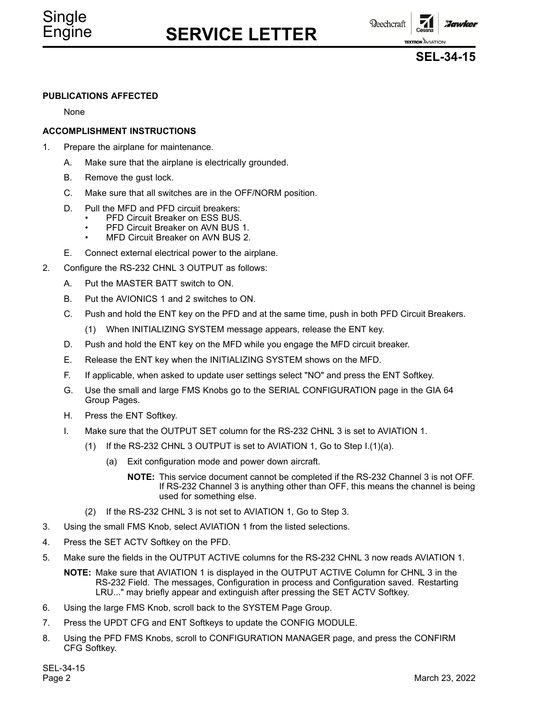### Engine **SERVICE LETTER**

**Reechcraft** 

:Jawker **TEXTRON AVIATION** 

**SEL-34-15**

### **PUBLICATIONS AFFECTED**

None

### **ACCOMPLISHMENT INSTRUCTIONS**

- 1. Prepare the airplane for maintenance.
	- A. Make sure that the airplane is electrically grounded.
	- B. Remove the gust lock.
	- C. Make sure that all switches are in the OFF/NORM position.
	- D. Pull the MFD and PFD circuit breakers:
		- •PFD Circuit Breaker on ESS BUS.
		- •PFD Circuit Breaker on AVN BUS 1.
		- •MFD Circuit Breaker on AVN BUS 2.
	- E. Connect external electrical power to the airplane.
- 2. Configure the RS-232 CHNL 3 OUTPUT as follows:
	- A. Put the MASTER BATT switch to ON.
	- B. Put the AVIONICS 1 and 2 switches to ON.
	- C. Push and hold the ENT key on the PFD and at the same time, push in both PFD Circuit Breakers.
		- (1) When INITIALIZING SYSTEM message appears, release the ENT key.
	- D. Push and hold the ENT key on the MFD while you engage the MFD circuit breaker.
	- E. Release the ENT key when the INITIALIZING SYSTEM shows on the MFD.
	- F. If applicable, when asked to update user settings select "NO" and press the ENT Softkey.
	- G. Use the small and large FMS Knobs go to the SERIAL CONFIGURATION page in the GIA 64 Group Pages.
	- H. Press the ENT Softkey.
	- I. Make sure that the OUTPUT SET column for the RS-232 CHNL 3 is set to AVIATION 1.
		- (1) If the RS-232 CHNL 3 OUTPUT is set to AVIATION 1, Go to Step  $I.(1)(a)$ .
			- (a) Exit configuration mode and power down aircraft.
				- **NOTE:** This service document cannot be completed if the RS-232 Channel 3 is not OFF. If RS-232 Channel 3 is anything other than OFF, this means the channel is being used for something else.
		- (2) If the RS-232 CHNL 3 is not set to AVIATION 1, Go to Step 3.
- 3. Using the small FMS Knob, select AVIATION 1 from the listed selections.
- 4. Press the SET ACTV Softkey on the PFD.
- 5. Make sure the fields in the OUTPUT ACTIVE columns for the RS-232 CHNL 3 now reads AVIATION 1.
	- **NOTE:** Make sure that AVIATION 1 is displayed in the OUTPUT ACTIVE Column for CHNL 3 in the RS-232 Field. The messages, Configuration in process and Configuration saved. Restarting LRU..." may briefly appear and extinguish after pressing the SET ACTV Softkey.
- 6. Using the large FMS Knob, scroll back to the SYSTEM Page Group.
- 7. Press the UPDT CFG and ENT Softkeys to update the CONFIG MODULE.
- 8. Using the PFD FMS Knobs, scroll to CONFIGURATION MANAGER page, and press the CONFIRM CFG Softkey.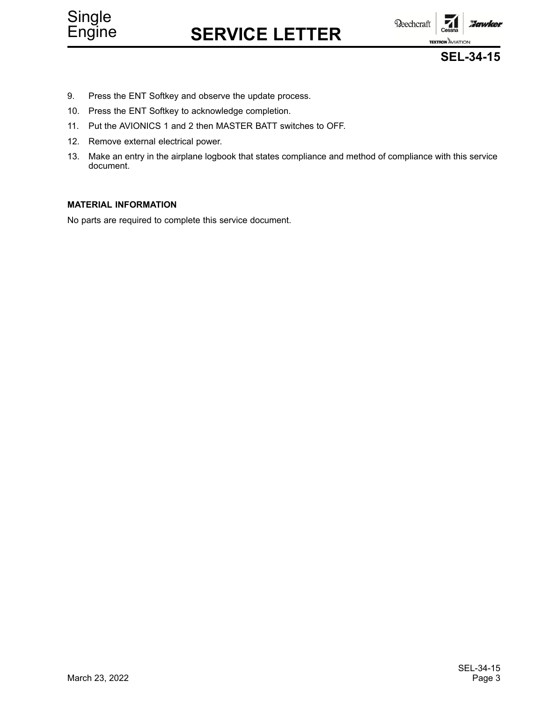

# Engine **SERVICE LETTER**





- 9. Press the ENT Softkey and observe the update process.
- 10. Press the ENT Softkey to acknowledge completion.
- 11. Put the AVIONICS 1 and 2 then MASTER BATT switches to OFF.
- 12. Remove external electrical power.
- 13. Make an entry in the airplane logbook that states compliance and method of compliance with this service document.

### **MATERIAL INFORMATION**

No parts are required to complete this service document.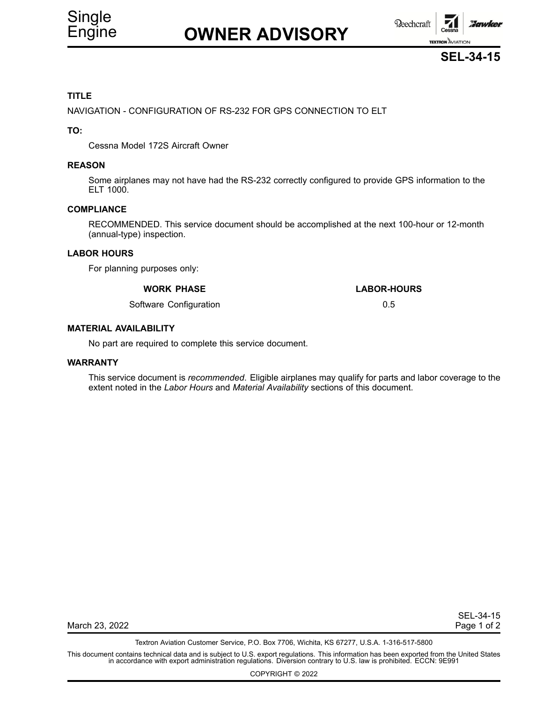

# Engine **OWNER ADVISORY**





### **TITLE**

NAVIGATION - CONFIGURATION OF RS-232 FOR GPS CONNECTION TO ELT

### **TO:**

Cessna Model 172S Aircraft Owner

### **REASON**

Some airplanes may not have had the RS-232 correctly configured to provide GPS information to the ELT 1000.

### **COMPLIANCE**

RECOMMENDED. This service document should be accomplished at the next 100-hour or 12-month (annual-type) inspection.

### **LABOR HOURS**

For planning purposes only:

### **WORK PHASE LABOR-HOURS**

Software Configuration **6.5** Configuration **6.5** Configuration **6.5** Configuration **6.5** 

### **MATERIAL AVAILABILITY**

No part are required to complete this service document.

### **WARRANTY**

This service document is *recommended*. Eligible airplanes may qualify for parts and labor coverage to the extent noted in the *Labor Hours* and *Material Availability* sections of this document.

SEL-34-15

March 23, 2022 **Page 1 of 2** 

Textron Aviation Customer Service, P.O. Box 7706, Wichita, KS 67277, U.S.A. 1-316-517-5800

This document contains technical data and is subject to U.S. export regulations. This information has been exported from the United States<br>in accordance with export administration regulations. Diversion contrary to U.S. la

COPYRIGHT © 2022